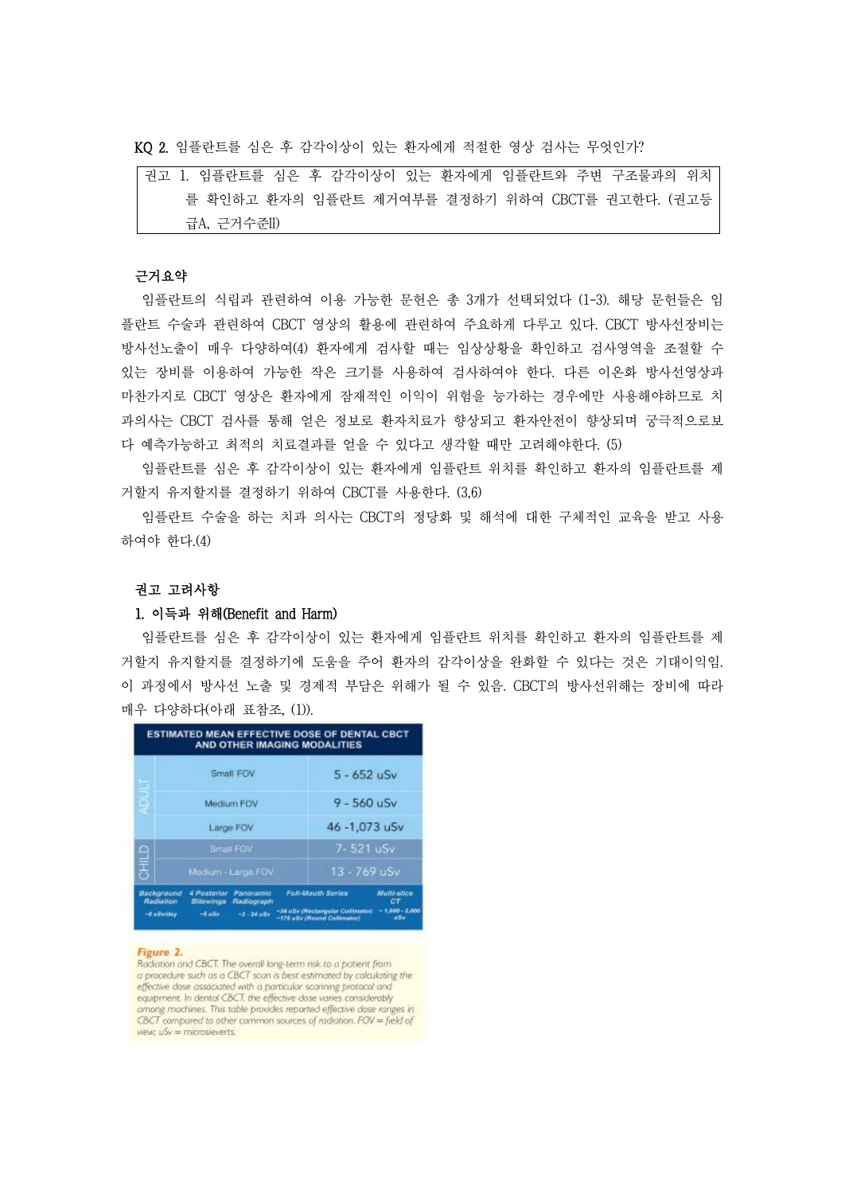KQ 2. 임플란트를 심은 후 감각이상이 있는 환자에게 적절한 영상 검사는 무엇인가?

# 근거요약

임플란트의 식립과 관련하여 이용 가능한 문헌은 총 3개가 선택되었다 (1-3). 해당 문헌들은 임 플란트 수술과 관련하여 CBCT 영상의 활용에 관련하여 주요하게 다루고 있다. CBCT 방사선장비는 방사선노출이 매우 다양하여(4) 환자에게 검사할 때는 임상상황을 확인하고 검사영역을 조절할 수 있는 장비를 이용하여 가능한 작은 크기를 사용하여 검사하여야 한다. 다른 이온화 방사선영상과 마찬가지로 CBCT 영상은 환자에게 잠재적인 이익이 위험을 능가하는 경우에만 사용해야하므로 치 과의사는 CBCT 검사를 통해 얻은 정보로 환자치료가 향상되고 환자안전이 향상되며 궁극적으로보 다 예측가능하고 최적의 치료결과를 얻을 수 있다고 생각할 때만 고려해야한다. (5)

임플란트를 심은 후 감각이상이 있는 환자에게 임플란트 위치를 확인하고 환자의 임플란트를 제 거할지 유지할지를 결정하기 위하여 CBCT를 사용한다. (3,6)

임플란트 수술을 하는 치과 의사는 CBCT의 정당화 및 해석에 대한 구체적인 교육을 받고 사용 하여야 한다.(4)

### 권고 고려사항

### 1. 이득과 위해(Benefit and Harm)

임플란트를 심은 후 감각이상이 있는 환자에게 임플란트 위치를 확인하고 환자의 임플란트를 제 거할지 유지할지를 결정하기에 도움을 주어 환자의 감각이상을 완화할 수 있다는 것은 기대이익임.<br>이 과정에서 방사선 노출 및 경제적 부담은 위해가 될 수 있음. CBCT의 방사선위해는 장비에 따라 매우 다양하다(아래 표참조, (1)).

| Small FOV                                                         | $5 - 652$ uSv                                        |
|-------------------------------------------------------------------|------------------------------------------------------|
| Medium FOV                                                        | $9 - 560$ uSv                                        |
| Large FOV                                                         | 46 -1,073 uSv                                        |
| Small FOV                                                         | 7-521 uSv                                            |
| Medium-Large FOV                                                  | 13 - 769 uSv                                         |
| Panoramic<br>Background<br>4 Posterior<br>Bitewings<br>Radiograph | <b>Full-Mouth Series</b><br>Multi-silce<br><b>CT</b> |
|                                                                   |                                                      |

#### Figure 2.

Radiation and CBCT. The overall long-term risk to a patient from a procedure such as a CBCT scan is best estimated by calculating the effective dase associated with a particular scanning protocol and equipment. In dental CBCT, the effective dose varies considerably among machines. This table provides reported effective dase ranges in CBCT compared to other common sources of radiation. FOV = field of view;  $uSv = microsieverts$